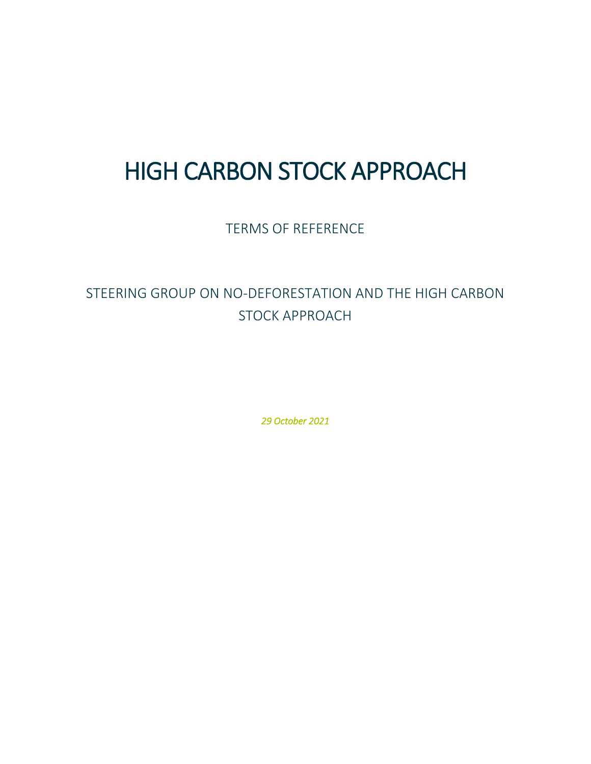# HIGH CARBON STOCK APPROACH

TERMS OF REFERENCE

## STEERING GROUP ON NO-DEFORESTATION AND THE HIGH CARBON STOCK APPROACH

*29 October 2021*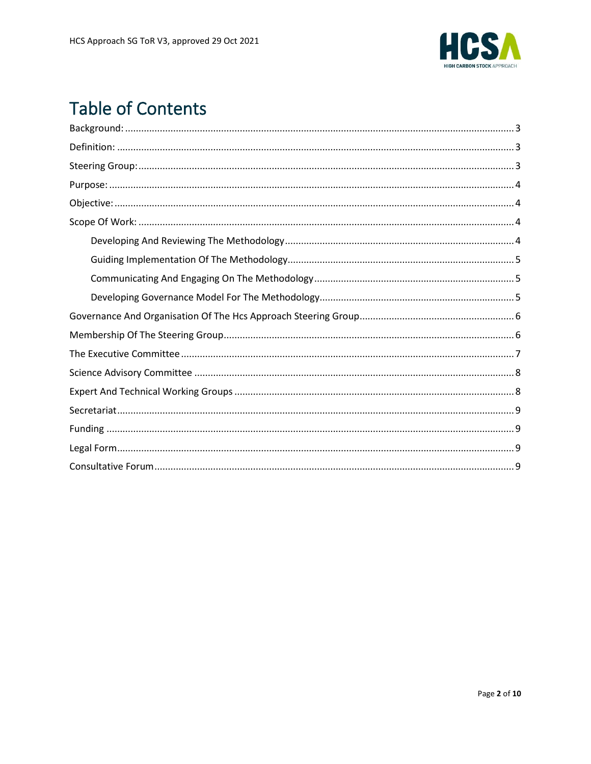

# **Table of Contents**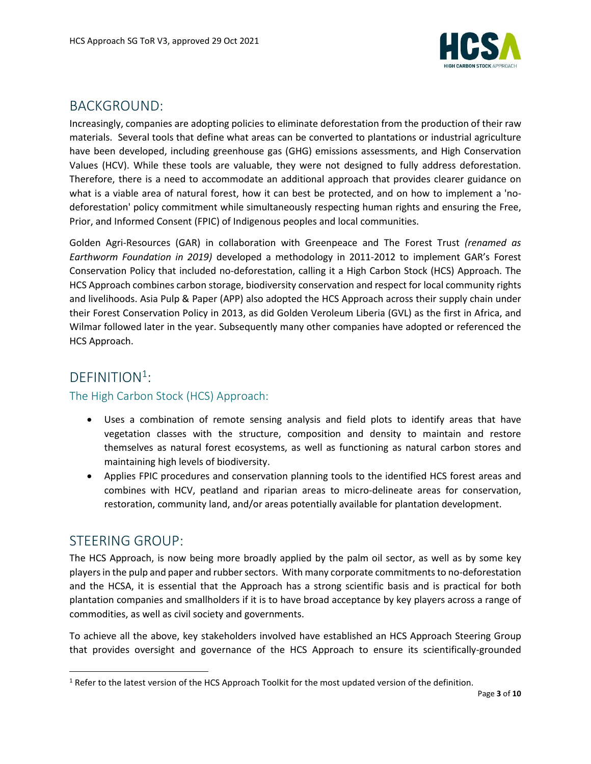

### <span id="page-2-0"></span>BACKGROUND:

Increasingly, companies are adopting policies to eliminate deforestation from the production of their raw materials. Several tools that define what areas can be converted to plantations or industrial agriculture have been developed, including greenhouse gas (GHG) emissions assessments, and High Conservation Values (HCV). While these tools are valuable, they were not designed to fully address deforestation. Therefore, there is a need to accommodate an additional approach that provides clearer guidance on what is a viable area of natural forest, how it can best be protected, and on how to implement a 'nodeforestation' policy commitment while simultaneously respecting human rights and ensuring the Free, Prior, and Informed Consent (FPIC) of Indigenous peoples and local communities.

Golden Agri-Resources (GAR) in collaboration with Greenpeace and The Forest Trust *(renamed as Earthworm Foundation in 2019)* developed a methodology in 2011-2012 to implement GAR's Forest Conservation Policy that included no-deforestation, calling it a High Carbon Stock (HCS) Approach. The HCS Approach combines carbon storage, biodiversity conservation and respect for local community rights and livelihoods. Asia Pulp & Paper (APP) also adopted the HCS Approach across their supply chain under their Forest Conservation Policy in 2013, as did Golden Veroleum Liberia (GVL) as the first in Africa, and Wilmar followed later in the year. Subsequently many other companies have adopted or referenced the HCS Approach.

### <span id="page-2-1"></span>DEFINITION<sup>1</sup>:

#### The High Carbon Stock (HCS) Approach:

- Uses a combination of remote sensing analysis and field plots to identify areas that have vegetation classes with the structure, composition and density to maintain and restore themselves as natural forest ecosystems, as well as functioning as natural carbon stores and maintaining high levels of biodiversity.
- Applies FPIC procedures and conservation planning tools to the identified HCS forest areas and combines with HCV, peatland and riparian areas to micro-delineate areas for conservation, restoration, community land, and/or areas potentially available for plantation development.

### <span id="page-2-2"></span>STEERING GROUP:

The HCS Approach, is now being more broadly applied by the palm oil sector, as well as by some key players in the pulp and paper and rubber sectors. With many corporate commitmentsto no-deforestation and the HCSA, it is essential that the Approach has a strong scientific basis and is practical for both plantation companies and smallholders if it is to have broad acceptance by key players across a range of commodities, as well as civil society and governments.

To achieve all the above, key stakeholders involved have established an HCS Approach Steering Group that provides oversight and governance of the HCS Approach to ensure its scientifically-grounded

 $1$  Refer to the latest version of the HCS Approach Toolkit for the most updated version of the definition.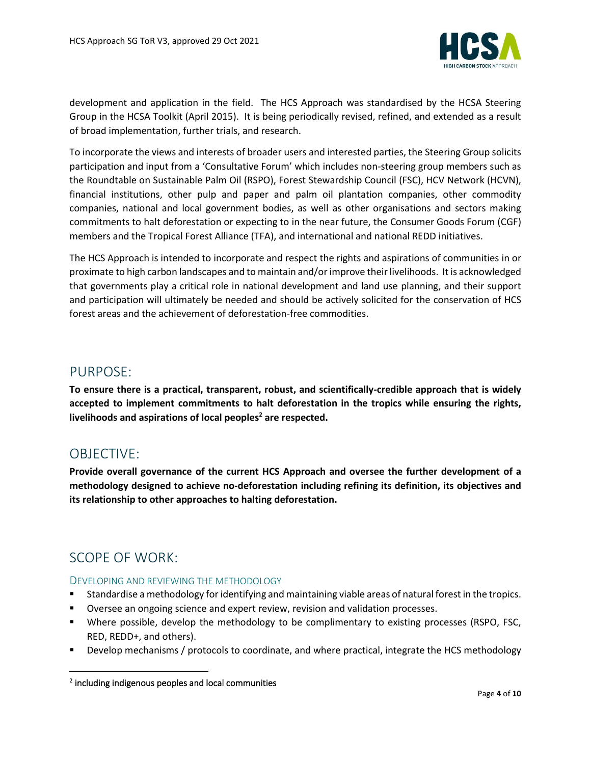

development and application in the field. The HCS Approach was standardised by the HCSA Steering Group in the HCSA Toolkit (April 2015). It is being periodically revised, refined, and extended as a result of broad implementation, further trials, and research.

To incorporate the views and interests of broader users and interested parties, the Steering Group solicits participation and input from a 'Consultative Forum' which includes non-steering group members such as the Roundtable on Sustainable Palm Oil (RSPO), Forest Stewardship Council (FSC), HCV Network (HCVN), financial institutions, other pulp and paper and palm oil plantation companies, other commodity companies, national and local government bodies, as well as other organisations and sectors making commitments to halt deforestation or expecting to in the near future, the Consumer Goods Forum (CGF) members and the Tropical Forest Alliance (TFA), and international and national REDD initiatives.

The HCS Approach is intended to incorporate and respect the rights and aspirations of communities in or proximate to high carbon landscapes and to maintain and/or improve their livelihoods. It is acknowledged that governments play a critical role in national development and land use planning, and their support and participation will ultimately be needed and should be actively solicited for the conservation of HCS forest areas and the achievement of deforestation-free commodities.

### <span id="page-3-0"></span>PURPOSE:

**To ensure there is a practical, transparent, robust, and scientifically-credible approach that is widely accepted to implement commitments to halt deforestation in the tropics while ensuring the rights, livelihoods and aspirations of local peoples <sup>2</sup> are respected.** 

### <span id="page-3-1"></span>OBJECTIVE:

**Provide overall governance of the current HCS Approach and oversee the further development of a methodology designed to achieve no-deforestation including refining its definition, its objectives and its relationship to other approaches to halting deforestation.**

### <span id="page-3-2"></span>SCOPE OF WORK:

#### <span id="page-3-3"></span>DEVELOPING AND REVIEWING THE METHODOLOGY

- Standardise a methodology for identifying and maintaining viable areas of natural forest in the tropics.
- Oversee an ongoing science and expert review, revision and validation processes.
- Where possible, develop the methodology to be complimentary to existing processes (RSPO, FSC, RED, REDD+, and others).
- Develop mechanisms / protocols to coordinate, and where practical, integrate the HCS methodology

<sup>2</sup> including indigenous peoples and local communities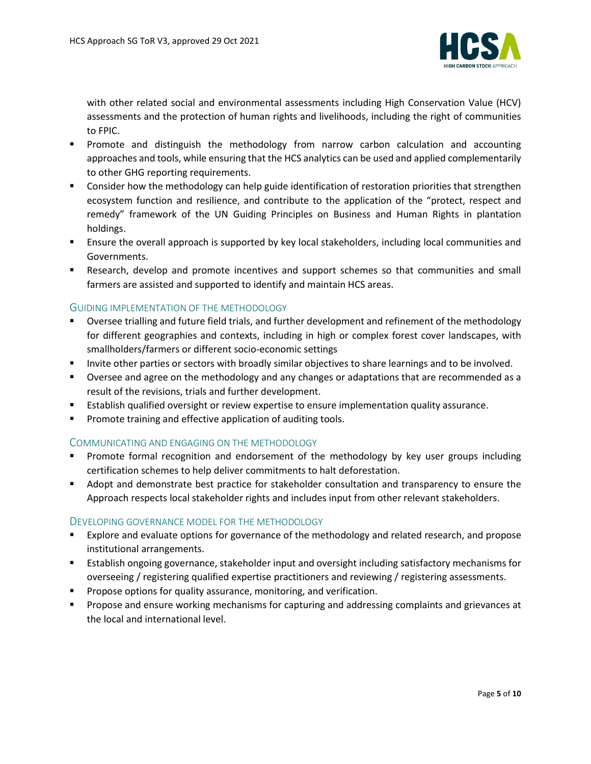

with other related social and environmental assessments including High Conservation Value (HCV) assessments and the protection of human rights and livelihoods, including the right of communities to FPIC.

- **•** Promote and distinguish the methodology from narrow carbon calculation and accounting approaches and tools, while ensuring that the HCS analytics can be used and applied complementarily to other GHG reporting requirements.
- Consider how the methodology can help guide identification of restoration priorities that strengthen ecosystem function and resilience, and contribute to the application of the "protect, respect and remedy" framework of the UN Guiding Principles on Business and Human Rights in plantation holdings.
- **EXECT Ensure the overall approach is supported by key local stakeholders, including local communities and** Governments.
- **E** Research, develop and promote incentives and support schemes so that communities and small farmers are assisted and supported to identify and maintain HCS areas.

#### <span id="page-4-0"></span>GUIDING IMPLEMENTATION OF THE METHODOLOGY

- Oversee trialling and future field trials, and further development and refinement of the methodology for different geographies and contexts, including in high or complex forest cover landscapes, with smallholders/farmers or different socio-economic settings
- **■** Invite other parties or sectors with broadly similar objectives to share learnings and to be involved.
- Oversee and agree on the methodology and any changes or adaptations that are recommended as a result of the revisions, trials and further development.
- **E** Establish qualified oversight or review expertise to ensure implementation quality assurance.
- Promote training and effective application of auditing tools.

#### <span id="page-4-1"></span>COMMUNICATING AND ENGAGING ON THE METHODOLOGY

- **•** Promote formal recognition and endorsement of the methodology by key user groups including certification schemes to help deliver commitments to halt deforestation.
- Adopt and demonstrate best practice for stakeholder consultation and transparency to ensure the Approach respects local stakeholder rights and includes input from other relevant stakeholders.

#### <span id="page-4-2"></span>DEVELOPING GOVERNANCE MODEL FOR THE METHODOLOGY

- Explore and evaluate options for governance of the methodology and related research, and propose institutional arrangements.
- Establish ongoing governance, stakeholder input and oversight including satisfactory mechanisms for overseeing / registering qualified expertise practitioners and reviewing / registering assessments.
- **•** Propose options for quality assurance, monitoring, and verification.
- Propose and ensure working mechanisms for capturing and addressing complaints and grievances at the local and international level.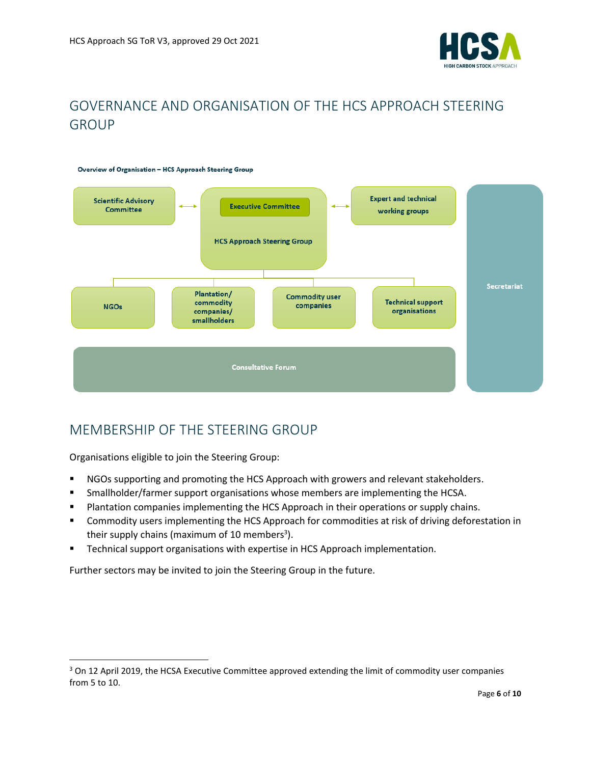

### <span id="page-5-0"></span>GOVERNANCE AND ORGANISATION OF THE HCS APPROACH STEERING GROUP



### <span id="page-5-1"></span>MEMBERSHIP OF THE STEERING GROUP

Organisations eligible to join the Steering Group:

- NGOs supporting and promoting the HCS Approach with growers and relevant stakeholders.
- **■** Smallholder/farmer support organisations whose members are implementing the HCSA.
- **■** Plantation companies implementing the HCS Approach in their operations or supply chains.
- Commodity users implementing the HCS Approach for commodities at risk of driving deforestation in their supply chains (maximum of 10 members<sup>3</sup>).
- **EXECT** Technical support organisations with expertise in HCS Approach implementation.

Further sectors may be invited to join the Steering Group in the future.

<sup>&</sup>lt;sup>3</sup> On 12 April 2019, the HCSA Executive Committee approved extending the limit of commodity user companies from 5 to 10.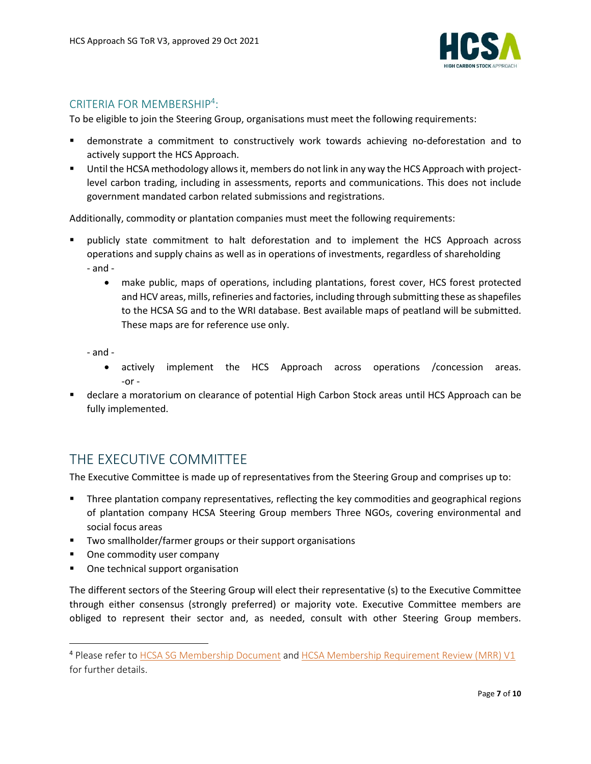

### CRITERIA FOR MEMBERSHIP<sup>4</sup>:

To be eligible to join the Steering Group, organisations must meet the following requirements:

- demonstrate a commitment to constructively work towards achieving no-deforestation and to actively support the HCS Approach.
- Until the HCSA methodology allows it, members do not link in any way the HCS Approach with projectlevel carbon trading, including in assessments, reports and communications. This does not include government mandated carbon related submissions and registrations.

Additionally, commodity or plantation companies must meet the following requirements:

- publicly state commitment to halt deforestation and to implement the HCS Approach across operations and supply chains as well as in operations of investments, regardless of shareholding - and -
	- make public, maps of operations, including plantations, forest cover, HCS forest protected and HCV areas, mills, refineries and factories, including through submitting these as shapefiles to the HCSA SG and to the WRI database. Best available maps of peatland will be submitted. These maps are for reference use only.

- and -

- actively implement the HCS Approach across operations /concession areas. -or -
- declare a moratorium on clearance of potential High Carbon Stock areas until HCS Approach can be fully implemented.

### <span id="page-6-0"></span>THE EXECUTIVE COMMITTEE

The Executive Committee is made up of representatives from the Steering Group and comprises up to:

- Three plantation company representatives, reflecting the key commodities and geographical regions of plantation company HCSA Steering Group members Three NGOs, covering environmental and social focus areas
- Two smallholder/farmer groups or their support organisations
- One commodity user company
- One technical support organisation

The different sectors of the Steering Group will elect their representative (s) to the Executive Committee through either consensus (strongly preferred) or majority vote. Executive Committee members are obliged to represent their sector and, as needed, consult with other Steering Group members.

<sup>4</sup> Please refer to [HCSA SG Membership Document](http://highcarbonstock.org/wp-content/uploads/2021/04/1.-HCS-Approach-SG-membership-documents-V2_Final_20122016-Formatted.pdf) an[d HCSA Membership Requirement Review \(MRR\) V1](http://highcarbonstock.org/wp-content/uploads/2021/01/HCSA-Membership-Requirements-Review-HCSA-MR-001-Version-1.pdf) for further details.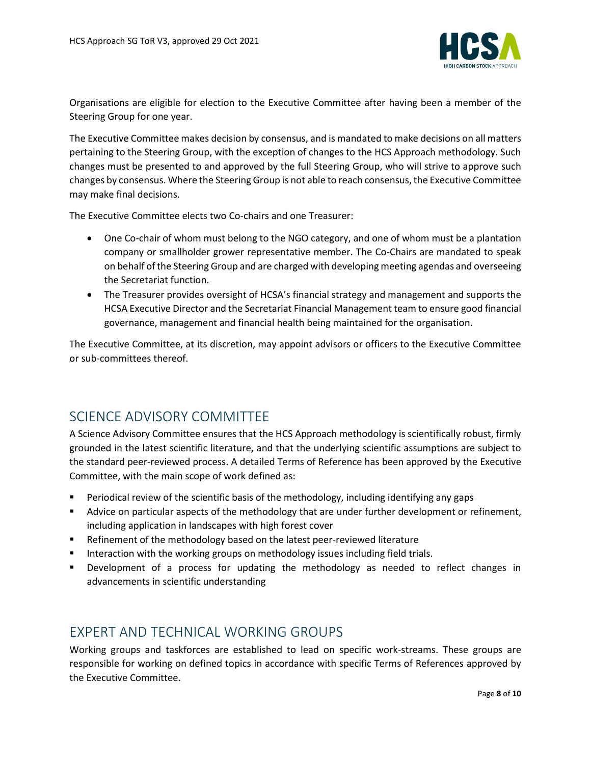

Organisations are eligible for election to the Executive Committee after having been a member of the Steering Group for one year.

The Executive Committee makes decision by consensus, and is mandated to make decisions on all matters pertaining to the Steering Group, with the exception of changes to the HCS Approach methodology. Such changes must be presented to and approved by the full Steering Group, who will strive to approve such changes by consensus. Where the Steering Group is not able to reach consensus, the Executive Committee may make final decisions.

The Executive Committee elects two Co-chairs and one Treasurer:

- One Co-chair of whom must belong to the NGO category, and one of whom must be a plantation company or smallholder grower representative member. The Co-Chairs are mandated to speak on behalf of the Steering Group and are charged with developing meeting agendas and overseeing the Secretariat function.
- The Treasurer provides oversight of HCSA's financial strategy and management and supports the HCSA Executive Director and the Secretariat Financial Management team to ensure good financial governance, management and financial health being maintained for the organisation.

The Executive Committee, at its discretion, may appoint advisors or officers to the Executive Committee or sub-committees thereof.

### <span id="page-7-0"></span>SCIENCE ADVISORY COMMITTEE

A Science Advisory Committee ensures that the HCS Approach methodology is scientifically robust, firmly grounded in the latest scientific literature, and that the underlying scientific assumptions are subject to the standard peer-reviewed process. A detailed Terms of Reference has been approved by the Executive Committee, with the main scope of work defined as:

- Periodical review of the scientific basis of the methodology, including identifying any gaps
- Advice on particular aspects of the methodology that are under further development or refinement, including application in landscapes with high forest cover
- Refinement of the methodology based on the latest peer-reviewed literature
- Interaction with the working groups on methodology issues including field trials.
- Development of a process for updating the methodology as needed to reflect changes in advancements in scientific understanding

### <span id="page-7-1"></span>EXPERT AND TECHNICAL WORKING GROUPS

Working groups and taskforces are established to lead on specific work-streams. These groups are responsible for working on defined topics in accordance with specific Terms of References approved by the Executive Committee.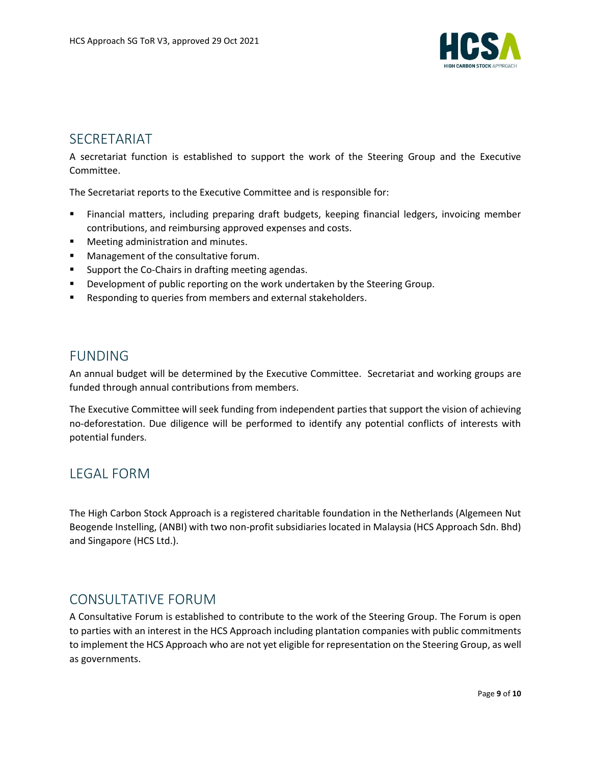

### <span id="page-8-0"></span>SECRETARIAT

A secretariat function is established to support the work of the Steering Group and the Executive Committee.

The Secretariat reports to the Executive Committee and is responsible for:

- Financial matters, including preparing draft budgets, keeping financial ledgers, invoicing member contributions, and reimbursing approved expenses and costs.
- Meeting administration and minutes.
- Management of the consultative forum.
- Support the Co-Chairs in drafting meeting agendas.
- **•** Development of public reporting on the work undertaken by the Steering Group.
- Responding to queries from members and external stakeholders.

### <span id="page-8-1"></span>FUNDING

An annual budget will be determined by the Executive Committee. Secretariat and working groups are funded through annual contributions from members.

The Executive Committee will seek funding from independent parties that support the vision of achieving no-deforestation. Due diligence will be performed to identify any potential conflicts of interests with potential funders.

### <span id="page-8-2"></span>LEGAL FORM

The High Carbon Stock Approach is a registered charitable foundation in the Netherlands (Algemeen Nut Beogende Instelling, (ANBI) with two non-profit subsidiaries located in Malaysia (HCS Approach Sdn. Bhd) and Singapore (HCS Ltd.).

### <span id="page-8-3"></span>CONSULTATIVE FORUM

A Consultative Forum is established to contribute to the work of the Steering Group. The Forum is open to parties with an interest in the HCS Approach including plantation companies with public commitments to implement the HCS Approach who are not yet eligible for representation on the Steering Group, as well as governments.